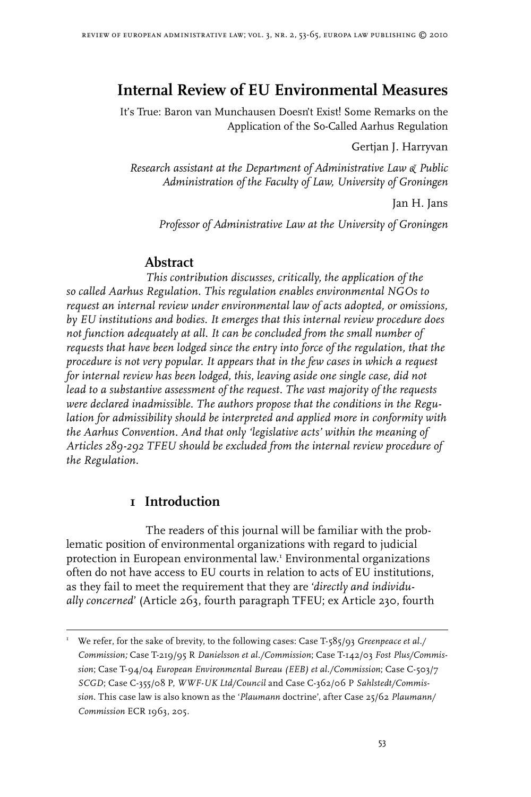# **Internal Review of EU Environmental Measures**

It's True: Baron van Munchausen Doesn't Exist! Some Remarks on the Application of the So-Called Aarhus Regulation

Gertjan J. Harryvan

*Research assistant at the Department of Administrative Law & Public Administration of the Faculty of Law, University of Groningen*

Jan H. Jans

*Professor of Administrative Law at the University of Groningen*

### **Abstract**

*This contribution discusses, critically, the application of the so called Aarhus Regulation. This regulation enables environmental NGOs to request an internal review under environmental law of acts adopted, or omissions, by EU institutions and bodies. It emerges that this internal review procedure does not function adequately at all. It can be concluded from the small number of requests that have been lodged since the entry into force of the regulation, that the procedure is not very popular. It appears that in the few cases in which a request for internal review has been lodged, this, leaving aside one single case, did not lead to a substantive assessment of the request. The vast majority of the requests were declared inadmissible. The authors propose that the conditions in the Regulation for admissibility should be interpreted and applied more in conformity with the Aarhus Convention. And that only 'legislative acts' within the meaning of Articles 289-292 TFEU should be excluded from the internal review procedure of the Regulation.*

### **1 Introduction**

The readers of this journal will be familiar with the problematic position of environmental organizations with regard to judicial protection in European environmental law. Environmental organizations often do not have access to EU courts in relation to acts of EU institutions, as they fail to meet the requirement that they are '*directly and individually concerned*' (Article 263, fourth paragraph TFEU; ex Article 230, fourth

 We refer, for the sake of brevity, to the following cases: Case T-585/93 *Greenpeace et al./ Commission;* Case T-219/95 R *Danielsson et al./Commission*; Case T-142/03 *Fost Plus/Commission*; Case T-94/04 *European Environmental Bureau (EEB) et al./Commission*; Case C-503/7 *SCGD*; Case C-355/08 P, *WWF-UK Ltd/Council* and Case C-362/06 P *Sahlstedt/Commission*. This case law is also known as the '*Plaumann* doctrine', after Case 25/62 *Plaumann/ Commission* ECR 1963, 205.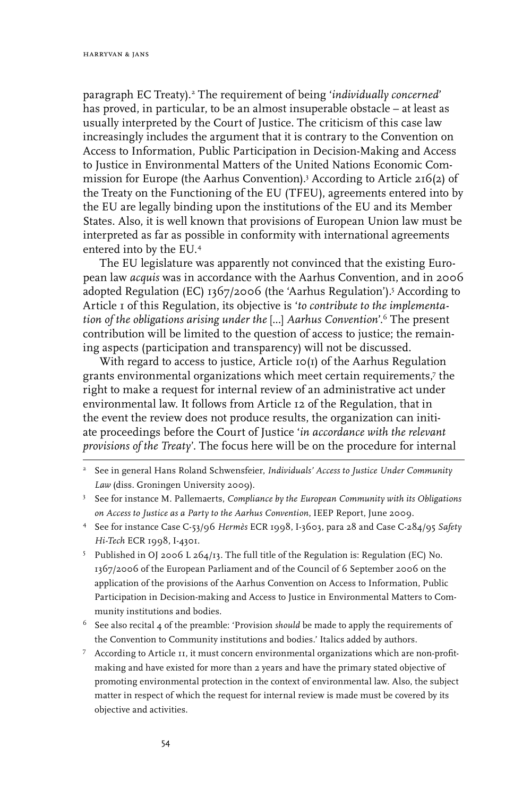paragraph EC Treaty).<sup>2</sup> The requirement of being '*individually concerned'* has proved, in particular, to be an almost insuperable obstacle – at least as usually interpreted by the Court of Justice. The criticism of this case law increasingly includes the argument that it is contrary to the Convention on Access to Information, Public Participation in Decision-Making and Access to Justice in Environmental Matters of the United Nations Economic Commission for Europe (the Aarhus Convention).<sup>3</sup> According to Article 216(2) of the Treaty on the Functioning of the EU (TFEU), agreements entered into by the EU are legally binding upon the institutions of the EU and its Member States. Also, it is well known that provisions of European Union law must be interpreted as far as possible in conformity with international agreements entered into by the EU.

The EU legislature was apparently not convinced that the existing European law *acquis* was in accordance with the Aarhus Convention, and in 2006 adopted Regulation (EC) 1367/2006 (the 'Aarhus Regulation'). According to Article 1 of this Regulation, its objective is '*to contribute to the implementation of the obligations arising under the* [...] *Aarhus Convention*'. The present contribution will be limited to the question of access to justice; the remaining aspects (participation and transparency) will not be discussed.

With regard to access to justice, Article 10(1) of the Aarhus Regulation grants environmental organizations which meet certain requirements,7 the right to make a request for internal review of an administrative act under environmental law. It follows from Article 12 of the Regulation, that in the event the review does not produce results, the organization can initiate proceedings before the Court of Justice '*in accordance with the relevant provisions of the Treaty*'. The focus here will be on the procedure for internal

- $^6$  See also recital 4 of the preamble: 'Provision  $\emph{should}$  be made to apply the requirements of the Convention to Community institutions and bodies.' Italics added by authors.
- According to Article 11, it must concern environmental organizations which are non-profitmaking and have existed for more than 2 years and have the primary stated objective of promoting environmental protection in the context of environmental law. Also, the subject matter in respect of which the request for internal review is made must be covered by its objective and activities.

See in general Hans Roland Schwensfeier, *Individuals' Access to Justice Under Community Law* (diss. Groningen University 2009).

<sup>&</sup>lt;sup>3</sup> See for instance M. Pallemaerts, *Compliance by the European Community with its Obligations on Access to Justice as a Party to the Aarhus Convention*, IEEP Report, June 2009.

See for instance Case C-53/96 *Hermès* ECR 1998, I-3603, para 28 and Case C-284/95 *Safety Hi-Tech* ECR 1998, I-4301.

Published in OJ 2006 L 264/13. The full title of the Regulation is: Regulation (EC) No. 1367/2006 of the European Parliament and of the Council of 6 September 2006 on the application of the provisions of the Aarhus Convention on Access to Information, Public Participation in Decision-making and Access to Justice in Environmental Matters to Community institutions and bodies.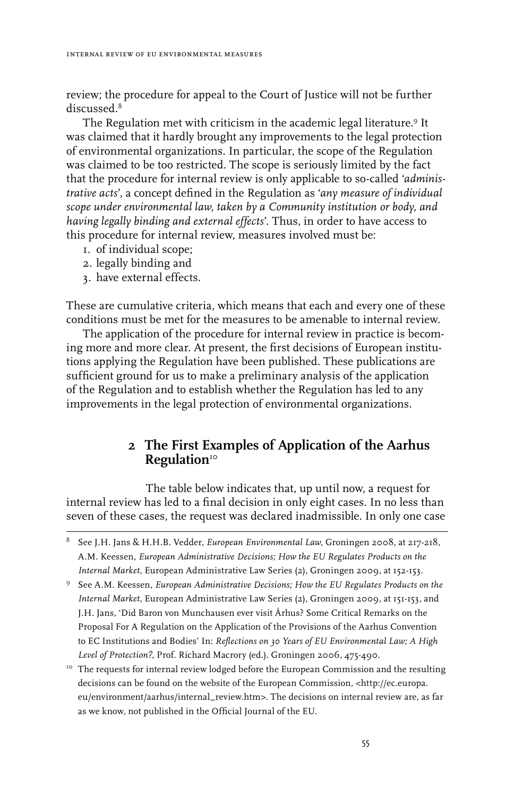review; the procedure for appeal to the Court of Justice will not be further discussed<sup>8</sup>

The Regulation met with criticism in the academic legal literature.<sup>9</sup> It was claimed that it hardly brought any improvements to the legal protection of environmental organizations. In particular, the scope of the Regulation was claimed to be too restricted. The scope is seriously limited by the fact that the procedure for internal review is only applicable to so-called '*administrative acts*', a concept defined in the Regulation as '*any measure of individual scope under environmental law, taken by a Community institution or body, and having legally binding and external effects*'. Thus, in order to have access to this procedure for internal review, measures involved must be:

- 1. of individual scope;
- 2. legally binding and
- 3. have external effects.

These are cumulative criteria, which means that each and every one of these conditions must be met for the measures to be amenable to internal review.

The application of the procedure for internal review in practice is becoming more and more clear. At present, the first decisions of European institutions applying the Regulation have been published. These publications are sufficient ground for us to make a preliminary analysis of the application of the Regulation and to establish whether the Regulation has led to any improvements in the legal protection of environmental organizations.

## **2 The First Examples of Application of the Aarhus Regulation**<sup>10</sup>

The table below indicates that, up until now, a request for internal review has led to a final decision in only eight cases. In no less than seven of these cases, the request was declared inadmissible. In only one case

See J.H. Jans & H.H.B. Vedder, *European Environmental Law*, Groningen 2008, at 217-218, A.M. Keessen, *European Administrative Decisions; How the EU Regulates Products on the Internal Market*, European Administrative Law Series (2), Groningen 2009, at 152-153.

<sup>&</sup>lt;sup>9</sup> See A.M. Keessen, *European Administrative Decisions; How the EU Regulates Products on the Internal Market*, European Administrative Law Series (2), Groningen 2009, at 151-153, and J.H. Jans, 'Did Baron von Munchausen ever visit Århus? Some Critical Remarks on the Proposal For A Regulation on the Application of the Provisions of the Aarhus Convention to EC Institutions and Bodies' In: *Reflections on 30 Years of EU Environmental Law; A High Level of Protection?*, Prof. Richard Macrory (ed.). Groningen 2006, 475-490.

<sup>&</sup>lt;sup>10</sup> The requests for internal review lodged before the European Commission and the resulting decisions can be found on the website of the European Commission, <http://ec.europa. eu/environment/aarhus/internal\_review.htm>. The decisions on internal review are, as far as we know, not published in the Official Journal of the EU.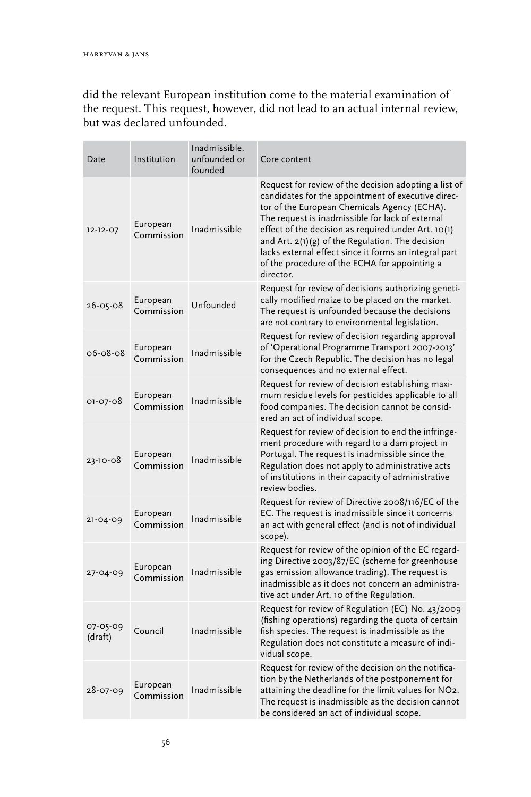did the relevant European institution come to the material examination of the request. This request, however, did not lead to an actual internal review, but was declared unfounded.

| Date                | Institution            | Inadmissible,<br>unfounded or<br>founded | Core content                                                                                                                                                                                                                                                                                                                                                                                                                                          |
|---------------------|------------------------|------------------------------------------|-------------------------------------------------------------------------------------------------------------------------------------------------------------------------------------------------------------------------------------------------------------------------------------------------------------------------------------------------------------------------------------------------------------------------------------------------------|
| $12 - 12 - 07$      | European<br>Commission | Inadmissible                             | Request for review of the decision adopting a list of<br>candidates for the appointment of executive direc-<br>tor of the European Chemicals Agency (ECHA).<br>The request is inadmissible for lack of external<br>effect of the decision as required under Art. $10(1)$<br>and Art. $2(1)(g)$ of the Regulation. The decision<br>lacks external effect since it forms an integral part<br>of the procedure of the ECHA for appointing a<br>director. |
| $26 - 05 - 08$      | European<br>Commission | Unfounded                                | Request for review of decisions authorizing geneti-<br>cally modified maize to be placed on the market.<br>The request is unfounded because the decisions<br>are not contrary to environmental legislation.                                                                                                                                                                                                                                           |
| $06 - 08 - 08$      | European<br>Commission | Inadmissible                             | Request for review of decision regarding approval<br>of 'Operational Programme Transport 2007-2013'<br>for the Czech Republic. The decision has no legal<br>consequences and no external effect.                                                                                                                                                                                                                                                      |
| 01-07-08            | European<br>Commission | Inadmissible                             | Request for review of decision establishing maxi-<br>mum residue levels for pesticides applicable to all<br>food companies. The decision cannot be consid-<br>ered an act of individual scope.                                                                                                                                                                                                                                                        |
| 23-10-08            | European<br>Commission | Inadmissible                             | Request for review of decision to end the infringe-<br>ment procedure with regard to a dam project in<br>Portugal. The request is inadmissible since the<br>Regulation does not apply to administrative acts<br>of institutions in their capacity of administrative<br>review bodies.                                                                                                                                                                 |
| 21-04-09            | European<br>Commission | Inadmissible                             | Request for review of Directive 2008/116/EC of the<br>EC. The request is inadmissible since it concerns<br>an act with general effect (and is not of individual<br>scope).                                                                                                                                                                                                                                                                            |
| 27-04-09            | European<br>Commission | Inadmissible                             | Request for review of the opinion of the EC regard-<br>ing Directive 2003/87/EC (scheme for greenhouse<br>gas emission allowance trading). The request is<br>inadmissible as it does not concern an administra-<br>tive act under Art. 10 of the Regulation.                                                                                                                                                                                          |
| 07-05-09<br>(draft) | Council                | Inadmissible                             | Request for review of Regulation (EC) No. 43/2009<br>(fishing operations) regarding the quota of certain<br>fish species. The request is inadmissible as the<br>Regulation does not constitute a measure of indi-<br>vidual scope.                                                                                                                                                                                                                    |
| 28-07-09            | European<br>Commission | Inadmissible                             | Request for review of the decision on the notifica-<br>tion by the Netherlands of the postponement for<br>attaining the deadline for the limit values for NO2.<br>The request is inadmissible as the decision cannot<br>be considered an act of individual scope.                                                                                                                                                                                     |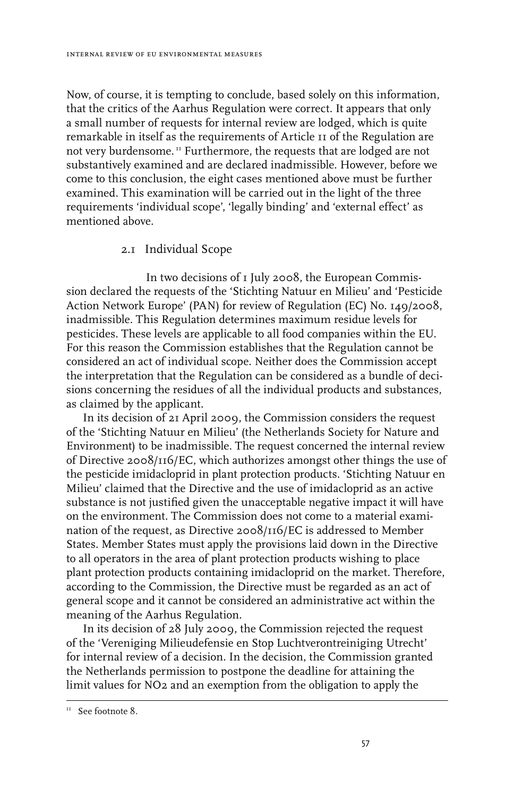Now, of course, it is tempting to conclude, based solely on this information, that the critics of the Aarhus Regulation were correct. It appears that only a small number of requests for internal review are lodged, which is quite remarkable in itself as the requirements of Article 11 of the Regulation are not very burdensome. 11 Furthermore, the requests that are lodged are not substantively examined and are declared inadmissible. However, before we come to this conclusion, the eight cases mentioned above must be further examined. This examination will be carried out in the light of the three requirements 'individual scope', 'legally binding' and 'external effect' as mentioned above.

#### 2.1 Individual Scope

In two decisions of 1 July 2008, the European Commission declared the requests of the 'Stichting Natuur en Milieu' and 'Pesticide Action Network Europe' (PAN) for review of Regulation (EC) No. 149/2008, inadmissible. This Regulation determines maximum residue levels for pesticides. These levels are applicable to all food companies within the EU. For this reason the Commission establishes that the Regulation cannot be considered an act of individual scope. Neither does the Commission accept the interpretation that the Regulation can be considered as a bundle of decisions concerning the residues of all the individual products and substances, as claimed by the applicant.

In its decision of 21 April 2009, the Commission considers the request of the 'Stichting Natuur en Milieu' (the Netherlands Society for Nature and Environment) to be inadmissible. The request concerned the internal review of Directive 2008/116/EC, which authorizes amongst other things the use of the pesticide imidacloprid in plant protection products. 'Stichting Natuur en Milieu' claimed that the Directive and the use of imidacloprid as an active substance is not justified given the unacceptable negative impact it will have on the environment. The Commission does not come to a material examination of the request, as Directive 2008/116/EC is addressed to Member States. Member States must apply the provisions laid down in the Directive to all operators in the area of plant protection products wishing to place plant protection products containing imidacloprid on the market. Therefore, according to the Commission, the Directive must be regarded as an act of general scope and it cannot be considered an administrative act within the meaning of the Aarhus Regulation.

In its decision of 28 July 2009, the Commission rejected the request of the 'Vereniging Milieudefensie en Stop Luchtverontreiniging Utrecht' for internal review of a decision. In the decision, the Commission granted the Netherlands permission to postpone the deadline for attaining the limit values for NO2 and an exemption from the obligation to apply the

<sup>&</sup>lt;sup>11</sup> See footnote 8.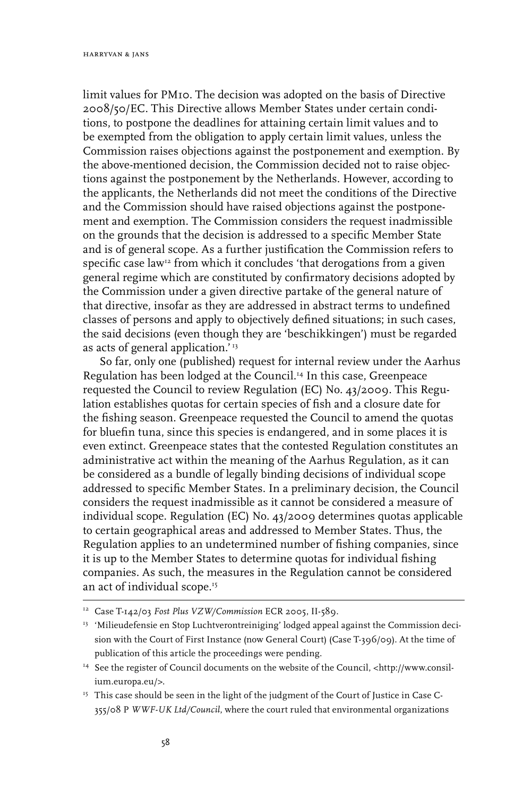limit values for PM10. The decision was adopted on the basis of Directive 2008/50/EC. This Directive allows Member States under certain conditions, to postpone the deadlines for attaining certain limit values and to be exempted from the obligation to apply certain limit values, unless the Commission raises objections against the postponement and exemption. By the above-mentioned decision, the Commission decided not to raise objections against the postponement by the Netherlands. However, according to the applicants, the Netherlands did not meet the conditions of the Directive and the Commission should have raised objections against the postponement and exemption. The Commission considers the request inadmissible on the grounds that the decision is addressed to a specific Member State and is of general scope. As a further justification the Commission refers to specific case law $^{\rm r_2}$  from which it concludes 'that derogations from a given general regime which are constituted by confirmatory decisions adopted by the Commission under a given directive partake of the general nature of that directive, insofar as they are addressed in abstract terms to undefined classes of persons and apply to objectively defined situations; in such cases, the said decisions (even though they are 'beschikkingen') must be regarded as acts of general application.'<sup>13</sup>

So far, only one (published) request for internal review under the Aarhus Regulation has been lodged at the Council.14 In this case, Greenpeace requested the Council to review Regulation (EC) No. 43/2009. This Regulation establishes quotas for certain species of fish and a closure date for the fishing season. Greenpeace requested the Council to amend the quotas for bluefin tuna, since this species is endangered, and in some places it is even extinct. Greenpeace states that the contested Regulation constitutes an administrative act within the meaning of the Aarhus Regulation, as it can be considered as a bundle of legally binding decisions of individual scope addressed to specific Member States. In a preliminary decision, the Council considers the request inadmissible as it cannot be considered a measure of individual scope. Regulation (EC) No. 43/2009 determines quotas applicable to certain geographical areas and addressed to Member States. Thus, the Regulation applies to an undetermined number of fishing companies, since it is up to the Member States to determine quotas for individual fishing companies. As such, the measures in the Regulation cannot be considered an act of individual scope.15

<sup>&</sup>lt;sup>12</sup> Case T-142/03 Fost Plus VZW/Commission ECR 2005, II-589.

<sup>&</sup>lt;sup>13</sup> 'Milieudefensie en Stop Luchtverontreiniging' lodged appeal against the Commission decision with the Court of First Instance (now General Court) (Case T-396/09). At the time of publication of this article the proceedings were pending.

<sup>&</sup>lt;sup>14</sup> See the register of Council documents on the website of the Council, <http://www.consilium.europa.eu/>.

<sup>&</sup>lt;sup>15</sup> This case should be seen in the light of the judgment of the Court of Justice in Case C-355/08 P *WWF-UK Ltd/Council*, where the court ruled that environmental organizations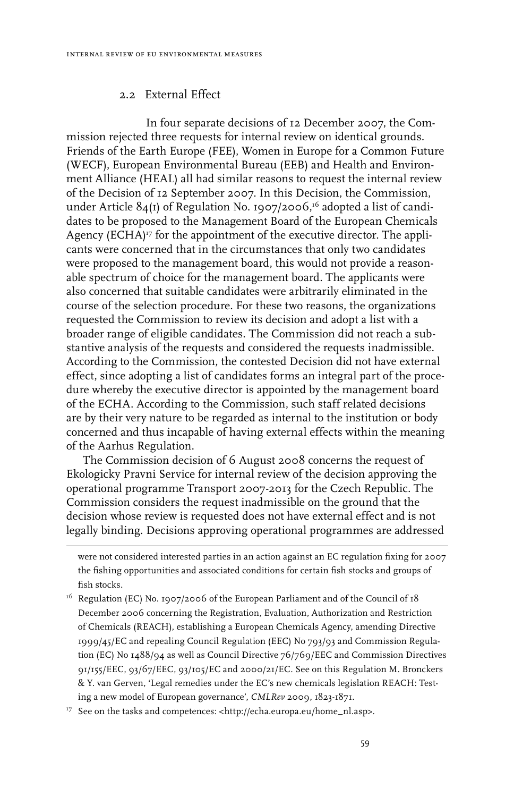#### 2.2 External Effect

In four separate decisions of 12 December 2007, the Commission rejected three requests for internal review on identical grounds. Friends of the Earth Europe (FEE), Women in Europe for a Common Future (WECF), European Environmental Bureau (EEB) and Health and Environment Alliance (HEAL) all had similar reasons to request the internal review of the Decision of 12 September 2007. In this Decision, the Commission, under Article  $84(I)$  of Regulation No. 1907/2006,<sup>16</sup> adopted a list of candidates to be proposed to the Management Board of the European Chemicals Agency (ECHA)17 for the appointment of the executive director. The applicants were concerned that in the circumstances that only two candidates were proposed to the management board, this would not provide a reasonable spectrum of choice for the management board. The applicants were also concerned that suitable candidates were arbitrarily eliminated in the course of the selection procedure. For these two reasons, the organizations requested the Commission to review its decision and adopt a list with a broader range of eligible candidates. The Commission did not reach a substantive analysis of the requests and considered the requests inadmissible. According to the Commission, the contested Decision did not have external effect, since adopting a list of candidates forms an integral part of the procedure whereby the executive director is appointed by the management board of the ECHA. According to the Commission, such staff related decisions are by their very nature to be regarded as internal to the institution or body concerned and thus incapable of having external effects within the meaning of the Aarhus Regulation.

The Commission decision of 6 August 2008 concerns the request of Ekologicky Pravni Service for internal review of the decision approving the operational programme Transport 2007-2013 for the Czech Republic. The Commission considers the request inadmissible on the ground that the decision whose review is requested does not have external effect and is not legally binding. Decisions approving operational programmes are addressed

<sup>17</sup> See on the tasks and competences: <http://echa.europa.eu/home\_nl.asp>.

were not considered interested parties in an action against an EC regulation fixing for 2007 the fishing opportunities and associated conditions for certain fish stocks and groups of fish stocks.

<sup>&</sup>lt;sup>16</sup> Regulation (EC) No. 1907/2006 of the European Parliament and of the Council of 18 December 2006 concerning the Registration, Evaluation, Authorization and Restriction of Chemicals (REACH), establishing a European Chemicals Agency, amending Directive 1999/45/EC and repealing Council Regulation (EEC) No 793/93 and Commission Regulation (EC) No 1488/94 as well as Council Directive 76/769/EEC and Commission Directives 91/155/EEC, 93/67/EEC, 93/105/EC and 2000/21/EC. See on this Regulation M. Bronckers & Y. van Gerven, 'Legal remedies under the EC's new chemicals legislation REACH: Testing a new model of European governance', *CMLRev* 2009, 1823-1871.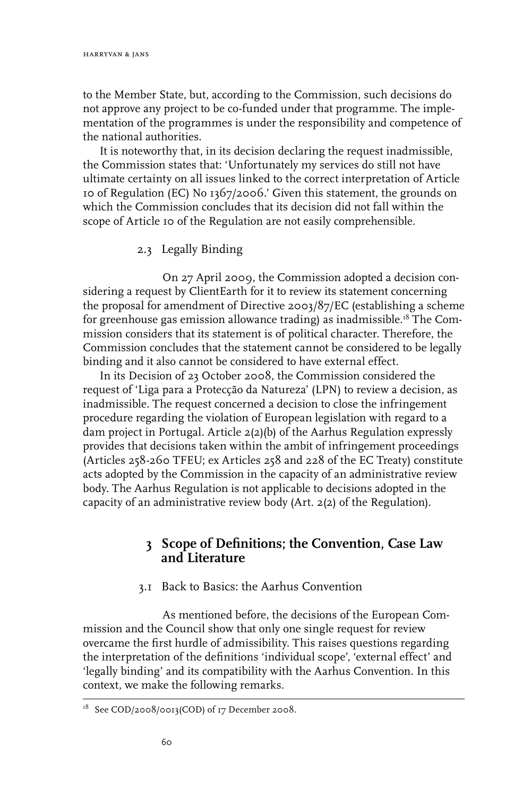to the Member State, but, according to the Commission, such decisions do not approve any project to be co-funded under that programme. The implementation of the programmes is under the responsibility and competence of the national authorities.

It is noteworthy that, in its decision declaring the request inadmissible, the Commission states that: 'Unfortunately my services do still not have ultimate certainty on all issues linked to the correct interpretation of Article 10 of Regulation (EC) No 1367/2006.' Given this statement, the grounds on which the Commission concludes that its decision did not fall within the scope of Article 10 of the Regulation are not easily comprehensible.

2.3 Legally Binding

On 27 April 2009, the Commission adopted a decision considering a request by ClientEarth for it to review its statement concerning the proposal for amendment of Directive 2003/87/EC (establishing a scheme for greenhouse gas emission allowance trading) as inadmissible.18 The Commission considers that its statement is of political character. Therefore, the Commission concludes that the statement cannot be considered to be legally binding and it also cannot be considered to have external effect.

In its Decision of 23 October 2008, the Commission considered the request of 'Liga para a Protecção da Natureza' (LPN) to review a decision, as inadmissible. The request concerned a decision to close the infringement procedure regarding the violation of European legislation with regard to a dam project in Portugal. Article 2(2)(b) of the Aarhus Regulation expressly provides that decisions taken within the ambit of infringement proceedings (Articles 258-260 TFEU; ex Articles 258 and 228 of the EC Treaty) constitute acts adopted by the Commission in the capacity of an administrative review body. The Aarhus Regulation is not applicable to decisions adopted in the capacity of an administrative review body (Art. 2(2) of the Regulation).

### **3 Scope of Definitions; the Convention, Case Law and Literature**

#### 3.1 Back to Basics: the Aarhus Convention

As mentioned before, the decisions of the European Commission and the Council show that only one single request for review overcame the first hurdle of admissibility. This raises questions regarding the interpretation of the definitions 'individual scope', 'external effect' and 'legally binding' and its compatibility with the Aarhus Convention. In this context, we make the following remarks.

<sup>&</sup>lt;sup>18</sup> See COD/2008/0013(COD) of 17 December 2008.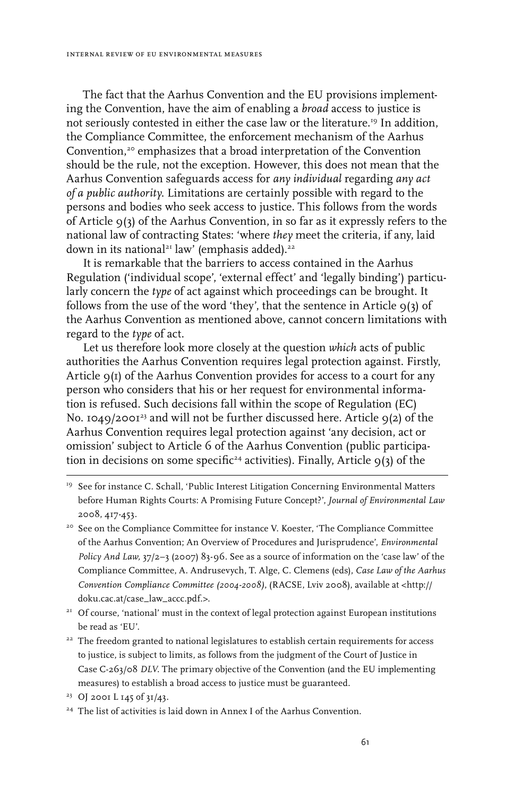The fact that the Aarhus Convention and the EU provisions implementing the Convention, have the aim of enabling a *broad* access to justice is not seriously contested in either the case law or the literature.19 In addition, the Compliance Committee, the enforcement mechanism of the Aarhus Convention,<sup>20</sup> emphasizes that a broad interpretation of the Convention should be the rule, not the exception. However, this does not mean that the Aarhus Convention safeguards access for *any individual* regarding *any act of a public authority*. Limitations are certainly possible with regard to the persons and bodies who seek access to justice. This follows from the words of Article 9(3) of the Aarhus Convention, in so far as it expressly refers to the national law of contracting States: 'where *they* meet the criteria, if any, laid down in its national21 law' (emphasis added).<sup>22</sup>

It is remarkable that the barriers to access contained in the Aarhus Regulation ('individual scope', 'external effect' and 'legally binding') particularly concern the *type* of act against which proceedings can be brought. It follows from the use of the word 'they', that the sentence in Article  $q(3)$  of the Aarhus Convention as mentioned above, cannot concern limitations with regard to the *type* of act.

Let us therefore look more closely at the question *which* acts of public authorities the Aarhus Convention requires legal protection against. Firstly, Article  $q(I)$  of the Aarhus Convention provides for access to a court for any person who considers that his or her request for environmental information is refused. Such decisions fall within the scope of Regulation (EC) No. 1049/2001<sup>23</sup> and will not be further discussed here. Article 9(2) of the Aarhus Convention requires legal protection against 'any decision, act or omission' subject to Article 6 of the Aarhus Convention (public participation in decisions on some specific<sup>24</sup> activities). Finally, Article  $9(3)$  of the

- <sup>19</sup> See for instance C. Schall, 'Public Interest Litigation Concerning Environmental Matters before Human Rights Courts: A Promising Future Concept?', *Journal of Environmental Law* 2008, 417-453.
- <sup>20</sup> See on the Compliance Committee for instance V. Koester, 'The Compliance Committee of the Aarhus Convention; An Overview of Procedures and Jurisprudence', *Environmental Policy And Law,* 37/2–3 (2007) 83-96. See as a source of information on the 'case law' of the Compliance Committee, A. Andrusevych, T. Alge, C. Clemens (eds), *Case Law of the Aarhus Convention Compliance Committee (2004-2008)*, (RACSE, Lviv 2008), available at <http:// doku.cac.at/case\_law\_accc.pdf.>.
- <sup>21</sup> Of course, 'national' must in the context of legal protection against European institutions be read as 'EU'.
- <sup>22</sup> The freedom granted to national legislatures to establish certain requirements for access to justice, is subject to limits, as follows from the judgment of the Court of Justice in Case C-263/08 *DLV*. The primary objective of the Convention (and the EU implementing measures) to establish a broad access to justice must be guaranteed.
- 23 OJ 2001 L 145 of 31/43.
- <sup>24</sup> The list of activities is laid down in Annex I of the Aarhus Convention.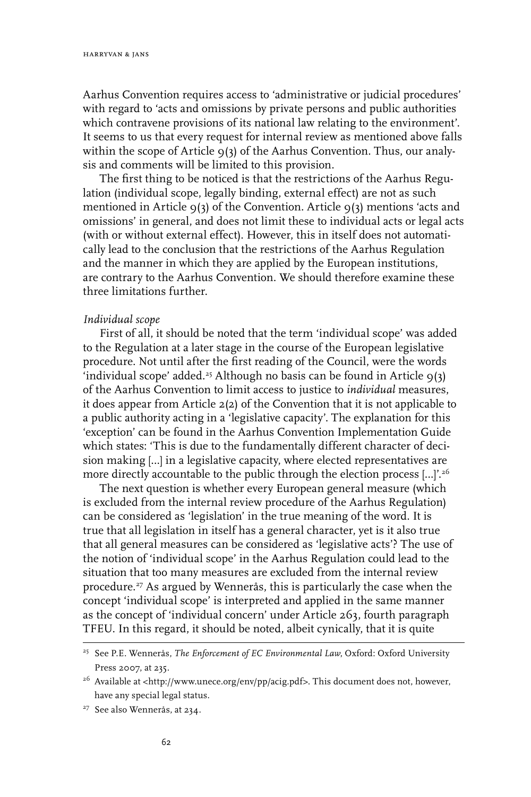Aarhus Convention requires access to 'administrative or judicial procedures' with regard to 'acts and omissions by private persons and public authorities which contravene provisions of its national law relating to the environment'. It seems to us that every request for internal review as mentioned above falls within the scope of Article  $q(3)$  of the Aarhus Convention. Thus, our analysis and comments will be limited to this provision.

The first thing to be noticed is that the restrictions of the Aarhus Regulation (individual scope, legally binding, external effect) are not as such mentioned in Article  $9(3)$  of the Convention. Article  $9(3)$  mentions 'acts and omissions' in general, and does not limit these to individual acts or legal acts (with or without external effect). However, this in itself does not automatically lead to the conclusion that the restrictions of the Aarhus Regulation and the manner in which they are applied by the European institutions, are contrary to the Aarhus Convention. We should therefore examine these three limitations further.

#### *Individual scope*

First of all, it should be noted that the term 'individual scope' was added to the Regulation at a later stage in the course of the European legislative procedure. Not until after the first reading of the Council, were the words 'individual scope' added.<sup>25</sup> Although no basis can be found in Article  $9(3)$ of the Aarhus Convention to limit access to justice to *individual* measures, it does appear from Article 2(2) of the Convention that it is not applicable to a public authority acting in a 'legislative capacity'. The explanation for this 'exception' can be found in the Aarhus Convention Implementation Guide which states: 'This is due to the fundamentally different character of decision making […] in a legislative capacity, where elected representatives are more directly accountable to the public through the election process [...]'.<sup>26</sup>

The next question is whether every European general measure (which is excluded from the internal review procedure of the Aarhus Regulation) can be considered as 'legislation' in the true meaning of the word. It is true that all legislation in itself has a general character, yet is it also true that all general measures can be considered as 'legislative acts'? The use of the notion of 'individual scope' in the Aarhus Regulation could lead to the situation that too many measures are excluded from the internal review procedure.27 As argued by Wennerås, this is particularly the case when the concept 'individual scope' is interpreted and applied in the same manner as the concept of 'individual concern' under Article 263, fourth paragraph TFEU. In this regard, it should be noted, albeit cynically, that it is quite

<sup>25</sup> See P.E. Wennerås, *The Enforcement of EC Environmental Law*, Oxford: Oxford University Press 2007, at 235.

<sup>&</sup>lt;sup>26</sup> Available at <http://www.unece.org/env/pp/acig.pdf>. This document does not, however, have any special legal status.

<sup>27</sup> See also Wennerås, at 234.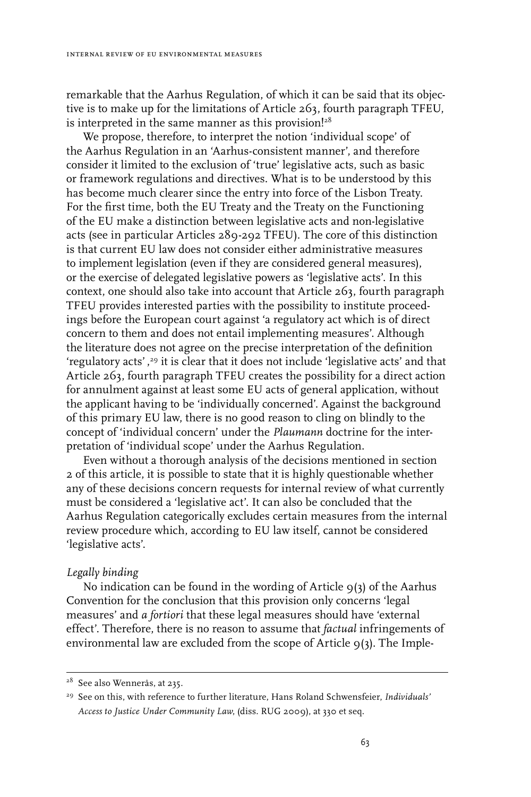remarkable that the Aarhus Regulation, of which it can be said that its objective is to make up for the limitations of Article 263, fourth paragraph TFEU, is interpreted in the same manner as this provision!<sup>28</sup>

We propose, therefore, to interpret the notion 'individual scope' of the Aarhus Regulation in an 'Aarhus-consistent manner', and therefore consider it limited to the exclusion of 'true' legislative acts, such as basic or framework regulations and directives. What is to be understood by this has become much clearer since the entry into force of the Lisbon Treaty. For the first time, both the EU Treaty and the Treaty on the Functioning of the EU make a distinction between legislative acts and non-legislative acts (see in particular Articles 289-292 TFEU). The core of this distinction is that current EU law does not consider either administrative measures to implement legislation (even if they are considered general measures), or the exercise of delegated legislative powers as 'legislative acts'. In this context, one should also take into account that Article 263, fourth paragraph TFEU provides interested parties with the possibility to institute proceedings before the European court against 'a regulatory act which is of direct concern to them and does not entail implementing measures'. Although the literature does not agree on the precise interpretation of the definition 'regulatory acts' , 29 it is clear that it does not include 'legislative acts' and that Article 263, fourth paragraph TFEU creates the possibility for a direct action for annulment against at least some EU acts of general application, without the applicant having to be 'individually concerned'. Against the background of this primary EU law, there is no good reason to cling on blindly to the concept of 'individual concern' under the *Plaumann* doctrine for the interpretation of 'individual scope' under the Aarhus Regulation.

Even without a thorough analysis of the decisions mentioned in section 2 of this article, it is possible to state that it is highly questionable whether any of these decisions concern requests for internal review of what currently must be considered a 'legislative act'. It can also be concluded that the Aarhus Regulation categorically excludes certain measures from the internal review procedure which, according to EU law itself, cannot be considered 'legislative acts'.

#### *Legally binding*

No indication can be found in the wording of Article  $q(3)$  of the Aarhus Convention for the conclusion that this provision only concerns 'legal measures' and *a fortiori* that these legal measures should have 'external effect'. Therefore, there is no reason to assume that *factual* infringements of environmental law are excluded from the scope of Article 9(3). The Imple-

<sup>28</sup> See also Wennerås, at 235.

<sup>29</sup> See on this, with reference to further literature, Hans Roland Schwensfeier, *Individuals' Access to Justice Under Community Law*, (diss. RUG 2009), at 330 et seq.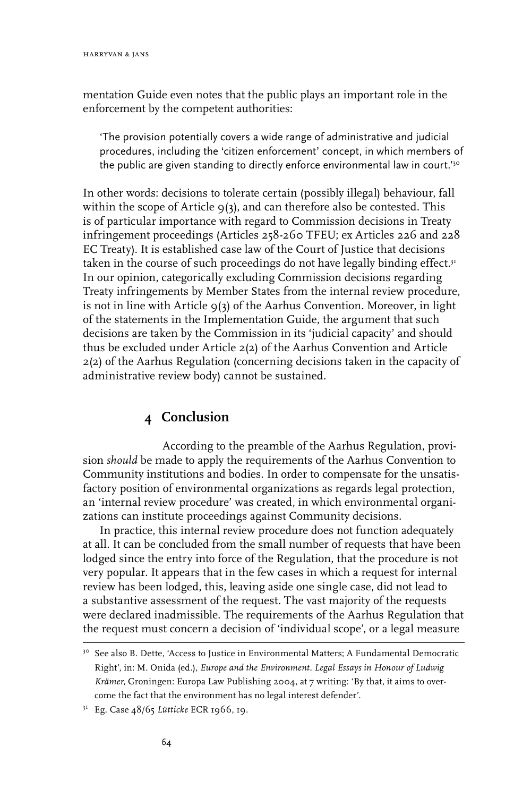mentation Guide even notes that the public plays an important role in the enforcement by the competent authorities:

'The provision potentially covers a wide range of administrative and judicial procedures, including the 'citizen enforcement' concept, in which members of the public are given standing to directly enforce environmental law in court.<sup>'30</sup>

In other words: decisions to tolerate certain (possibly illegal) behaviour, fall within the scope of Article  $9(3)$ , and can therefore also be contested. This is of particular importance with regard to Commission decisions in Treaty infringement proceedings (Articles 258-260 TFEU; ex Articles 226 and 228 EC Treaty). It is established case law of the Court of Justice that decisions taken in the course of such proceedings do not have legally binding effect.<sup>31</sup> In our opinion, categorically excluding Commission decisions regarding Treaty infringements by Member States from the internal review procedure, is not in line with Article  $9(3)$  of the Aarhus Convention. Moreover, in light of the statements in the Implementation Guide, the argument that such decisions are taken by the Commission in its 'judicial capacity' and should thus be excluded under Article 2(2) of the Aarhus Convention and Article 2(2) of the Aarhus Regulation (concerning decisions taken in the capacity of administrative review body) cannot be sustained.

### **4 Conclusion**

According to the preamble of the Aarhus Regulation, provision *should* be made to apply the requirements of the Aarhus Convention to Community institutions and bodies. In order to compensate for the unsatisfactory position of environmental organizations as regards legal protection, an 'internal review procedure' was created, in which environmental organizations can institute proceedings against Community decisions.

In practice, this internal review procedure does not function adequately at all. It can be concluded from the small number of requests that have been lodged since the entry into force of the Regulation, that the procedure is not very popular. It appears that in the few cases in which a request for internal review has been lodged, this, leaving aside one single case, did not lead to a substantive assessment of the request. The vast majority of the requests were declared inadmissible. The requirements of the Aarhus Regulation that the request must concern a decision of 'individual scope', or a legal measure

<sup>&</sup>lt;sup>30</sup> See also B. Dette, 'Access to Justice in Environmental Matters; A Fundamental Democratic Right', in: M. Onida (ed.), *Europe and the Environment. Legal Essays in Honour of Ludwig Krämer*, Groningen: Europa Law Publishing 2004, at 7 writing: 'By that, it aims to overcome the fact that the environment has no legal interest defender'.

<sup>31</sup> Eg. Case 48/65 *Lütticke* ECR 1966, 19.